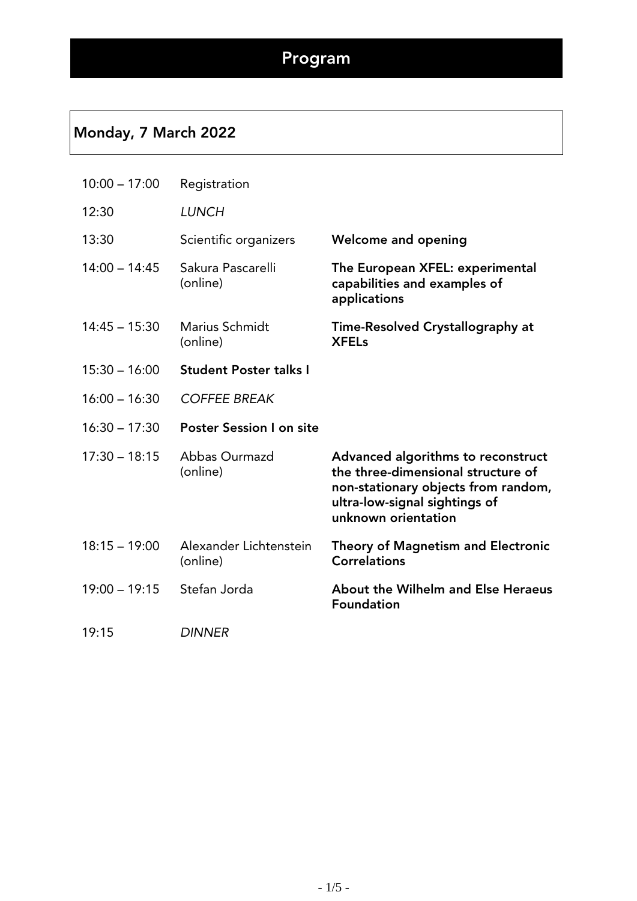#### Monday, 7 March 2022

| $10:00 - 17:00$ | Registration                       |                                                                                                                                                                         |
|-----------------|------------------------------------|-------------------------------------------------------------------------------------------------------------------------------------------------------------------------|
| 12:30           | <b>LUNCH</b>                       |                                                                                                                                                                         |
| 13:30           | Scientific organizers              | <b>Welcome and opening</b>                                                                                                                                              |
| $14:00 - 14:45$ | Sakura Pascarelli<br>(online)      | The European XFEL: experimental<br>capabilities and examples of<br>applications                                                                                         |
| $14:45 - 15:30$ | Marius Schmidt<br>(online)         | Time-Resolved Crystallography at<br><b>XFELs</b>                                                                                                                        |
| $15:30 - 16:00$ | <b>Student Poster talks I</b>      |                                                                                                                                                                         |
| $16:00 - 16:30$ | <b>COFFEE BREAK</b>                |                                                                                                                                                                         |
| $16:30 - 17:30$ | <b>Poster Session I on site</b>    |                                                                                                                                                                         |
| $17:30 - 18:15$ | Abbas Ourmazd<br>(online)          | Advanced algorithms to reconstruct<br>the three-dimensional structure of<br>non-stationary objects from random,<br>ultra-low-signal sightings of<br>unknown orientation |
| $18:15 - 19:00$ | Alexander Lichtenstein<br>(online) | <b>Theory of Magnetism and Electronic</b><br><b>Correlations</b>                                                                                                        |
| $19:00 - 19:15$ | Stefan Jorda                       | About the Wilhelm and Else Heraeus<br><b>Foundation</b>                                                                                                                 |
| 19:15           | <b>DINNER</b>                      |                                                                                                                                                                         |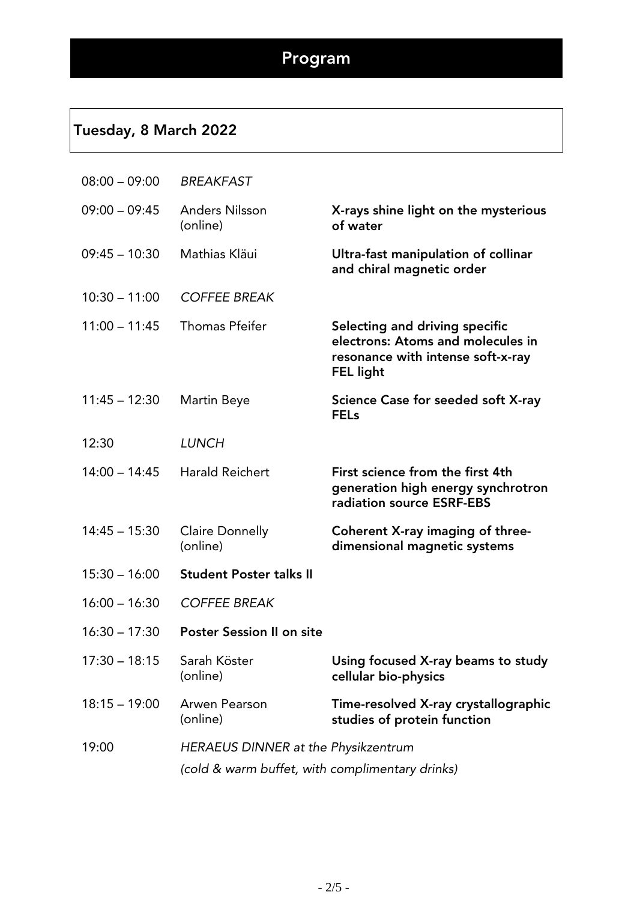## Tuesday, 8 March 2022

| $08:00 - 09:00$ | <b>BREAKFAST</b>                                |                                                                                                                              |
|-----------------|-------------------------------------------------|------------------------------------------------------------------------------------------------------------------------------|
| $09:00 - 09:45$ | <b>Anders Nilsson</b><br>(online)               | X-rays shine light on the mysterious<br>of water                                                                             |
| $09:45 - 10:30$ | Mathias Kläui                                   | Ultra-fast manipulation of collinar<br>and chiral magnetic order                                                             |
| $10:30 - 11:00$ | <b>COFFEE BREAK</b>                             |                                                                                                                              |
| $11:00 - 11:45$ | <b>Thomas Pfeifer</b>                           | Selecting and driving specific<br>electrons: Atoms and molecules in<br>resonance with intense soft-x-ray<br><b>FEL light</b> |
| $11:45 - 12:30$ | Martin Beye                                     | Science Case for seeded soft X-ray<br><b>FELs</b>                                                                            |
| 12:30           | <b>LUNCH</b>                                    |                                                                                                                              |
| $14:00 - 14:45$ | <b>Harald Reichert</b>                          | First science from the first 4th<br>generation high energy synchrotron<br>radiation source ESRF-EBS                          |
| $14:45 - 15:30$ | <b>Claire Donnelly</b><br>(online)              | Coherent X-ray imaging of three-<br>dimensional magnetic systems                                                             |
| $15:30 - 16:00$ | <b>Student Poster talks II</b>                  |                                                                                                                              |
| $16:00 - 16:30$ | <b>COFFEE BREAK</b>                             |                                                                                                                              |
| $16:30 - 17:30$ | <b>Poster Session II on site</b>                |                                                                                                                              |
| $17:30 - 18:15$ | Sarah Köster<br>(online)                        | Using focused X-ray beams to study<br>cellular bio-physics                                                                   |
| $18:15 - 19:00$ | Arwen Pearson<br>(online)                       | Time-resolved X-ray crystallographic<br>studies of protein function                                                          |
| 19:00           | HERAEUS DINNER at the Physikzentrum             |                                                                                                                              |
|                 | (cold & warm buffet, with complimentary drinks) |                                                                                                                              |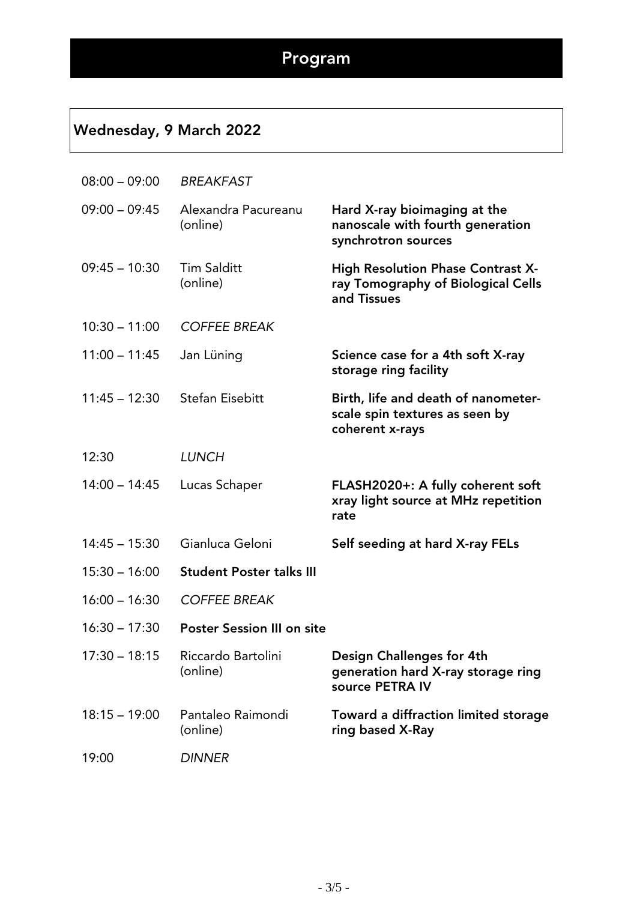## Wednesday, 9 March 2022

| $08:00 - 09:00$ | <b>BREAKFAST</b>                  |                                                                                          |
|-----------------|-----------------------------------|------------------------------------------------------------------------------------------|
| $09:00 - 09:45$ | Alexandra Pacureanu<br>(online)   | Hard X-ray bioimaging at the<br>nanoscale with fourth generation<br>synchrotron sources  |
| $09:45 - 10:30$ | <b>Tim Salditt</b><br>(online)    | High Resolution Phase Contrast X-<br>ray Tomography of Biological Cells<br>and Tissues   |
| $10:30 - 11:00$ | <b>COFFEE BREAK</b>               |                                                                                          |
| $11:00 - 11:45$ | Jan Lüning                        | Science case for a 4th soft X-ray<br>storage ring facility                               |
| $11:45 - 12:30$ | <b>Stefan Eisebitt</b>            | Birth, life and death of nanometer-<br>scale spin textures as seen by<br>coherent x-rays |
| 12:30           | <b>LUNCH</b>                      |                                                                                          |
| $14:00 - 14:45$ | Lucas Schaper                     | FLASH2020+: A fully coherent soft<br>xray light source at MHz repetition<br>rate         |
| $14:45 - 15:30$ | Gianluca Geloni                   | Self seeding at hard X-ray FELs                                                          |
| $15:30 - 16:00$ | <b>Student Poster talks III</b>   |                                                                                          |
| $16:00 - 16:30$ | <b>COFFEE BREAK</b>               |                                                                                          |
| $16:30 - 17:30$ | <b>Poster Session III on site</b> |                                                                                          |
| $17:30 - 18:15$ | Riccardo Bartolini<br>(online)    | Design Challenges for 4th<br>generation hard X-ray storage ring<br>source PETRA IV       |
| $18:15 - 19:00$ | Pantaleo Raimondi<br>(online)     | Toward a diffraction limited storage<br>ring based X-Ray                                 |
| 19:00           | <b>DINNER</b>                     |                                                                                          |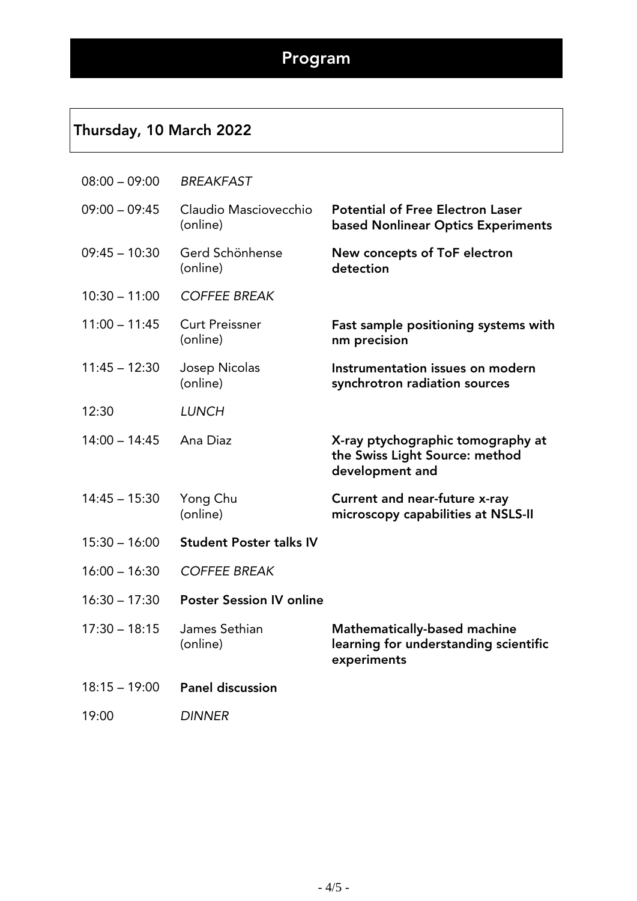### Thursday, 10 March 2022

| $08:00 - 09:00$ | <b>BREAKFAST</b>                  |                                                                                             |
|-----------------|-----------------------------------|---------------------------------------------------------------------------------------------|
| $09:00 - 09:45$ | Claudio Masciovecchio<br>(online) | <b>Potential of Free Electron Laser</b><br><b>based Nonlinear Optics Experiments</b>        |
| $09:45 - 10:30$ | Gerd Schönhense<br>(online)       | New concepts of ToF electron<br>detection                                                   |
| $10:30 - 11:00$ | <b>COFFEE BREAK</b>               |                                                                                             |
| $11:00 - 11:45$ | <b>Curt Preissner</b><br>(online) | Fast sample positioning systems with<br>nm precision                                        |
| $11:45 - 12:30$ | Josep Nicolas<br>(online)         | Instrumentation issues on modern<br>synchrotron radiation sources                           |
| 12:30           | <b>LUNCH</b>                      |                                                                                             |
| $14:00 - 14:45$ | Ana Diaz                          | X-ray ptychographic tomography at<br>the Swiss Light Source: method<br>development and      |
| $14:45 - 15:30$ | Yong Chu<br>(online)              | <b>Current and near-future x-ray</b><br>microscopy capabilities at NSLS-II                  |
| $15:30 - 16:00$ | <b>Student Poster talks IV</b>    |                                                                                             |
| $16:00 - 16:30$ | <b>COFFEE BREAK</b>               |                                                                                             |
| $16:30 - 17:30$ | <b>Poster Session IV online</b>   |                                                                                             |
| $17:30 - 18:15$ | James Sethian<br>(online)         | <b>Mathematically-based machine</b><br>learning for understanding scientific<br>experiments |
| $18:15 - 19:00$ | <b>Panel discussion</b>           |                                                                                             |
| 19:00           | <b>DINNER</b>                     |                                                                                             |